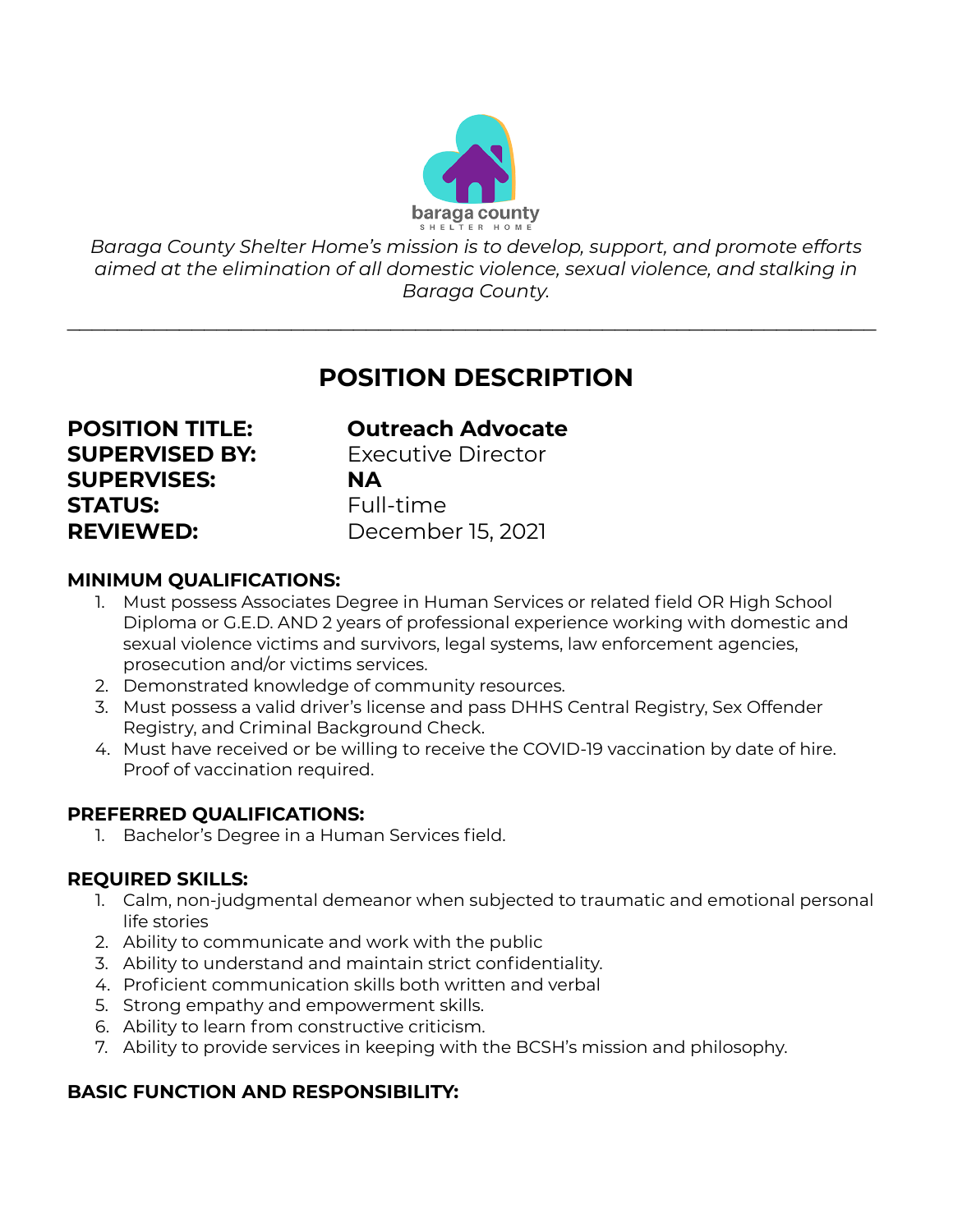

*Baraga County Shelter Home's mission is to develop, support, and promote efforts aimed at the elimination of all domestic violence, sexual violence, and stalking in Baraga County.*

 $\mathcal{L}_\text{max}$  , and the contract of the contract of the contract of the contract of the contract of the contract of the contract of the contract of the contract of the contract of the contract of the contract of the contr

## **POSITION DESCRIPTION**

# **SUPERVISES: NA STATUS:** Full-time **REVIEWED:** December 15, 2021

### **POSITION TITLE: Outreach Advocate**

**SUPERVISED BY:** Executive Director

#### **MINIMUM QUALIFICATIONS:**

- 1. Must possess Associates Degree in Human Services or related field OR High School Diploma or G.E.D. AND 2 years of professional experience working with domestic and sexual violence victims and survivors, legal systems, law enforcement agencies, prosecution and/or victims services.
- 2. Demonstrated knowledge of community resources.
- 3. Must possess a valid driver's license and pass DHHS Central Registry, Sex Offender Registry, and Criminal Background Check.
- 4. Must have received or be willing to receive the COVID-19 vaccination by date of hire. Proof of vaccination required.

#### **PREFERRED QUALIFICATIONS:**

1. Bachelor's Degree in a Human Services field.

#### **REQUIRED SKILLS:**

- 1. Calm, non-judgmental demeanor when subjected to traumatic and emotional personal life stories
- 2. Ability to communicate and work with the public
- 3. Ability to understand and maintain strict confidentiality.
- 4. Proficient communication skills both written and verbal
- 5. Strong empathy and empowerment skills.
- 6. Ability to learn from constructive criticism.
- 7. Ability to provide services in keeping with the BCSH's mission and philosophy.

#### **BASIC FUNCTION AND RESPONSIBILITY:**